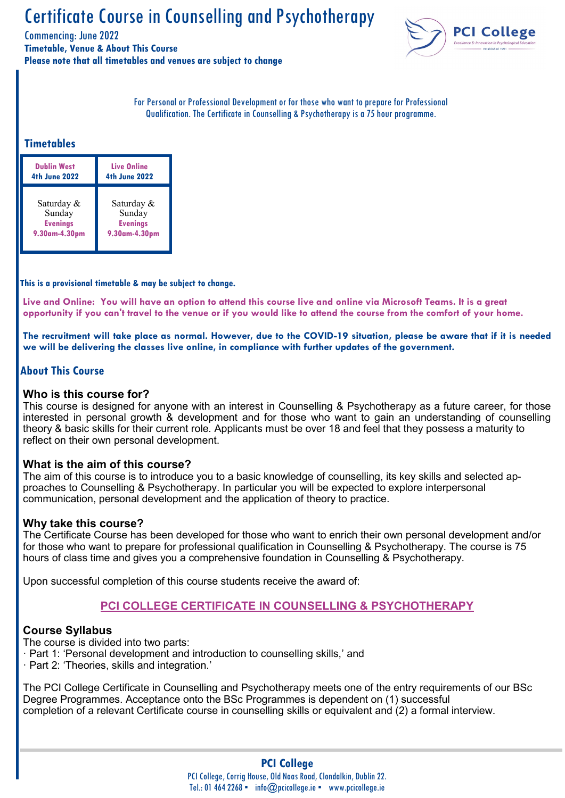Commencing: June 2022

**Timetable, Venue & About This Course Please note that all timetables and venues are subject to change**



For Personal or Professional Development or for those who want to prepare for Professional Qualification. The Certificate in Counselling & Psychotherapy is a 75 hour programme.

### **Timetables**

| <b>Dublin West</b>   | <b>Live Online</b>   |  |  |
|----------------------|----------------------|--|--|
| <b>4th June 2022</b> | <b>4th June 2022</b> |  |  |
| Saturday &           | Saturday &           |  |  |
| Sunday               | Sunday               |  |  |
| <b>Evenings</b>      | <b>Evenings</b>      |  |  |
| 9.30am-4.30pm        | 9.30am-4.30pm        |  |  |

**This is a provisional timetable & may be subject to change.**

**Live and Online: You will have an option to attend this course live and online via Microsoft Teams. It is a great opportunity if you can't travel to the venue or if you would like to attend the course from the comfort of your home.**

**The recruitment will take place as normal. However, due to the COVID-19 situation, please be aware that if it is needed we will be delivering the classes live online, in compliance with further updates of the government.** 

#### **About This Course**

#### **Who is this course for?**

This course is designed for anyone with an interest in Counselling & Psychotherapy as a future career, for those interested in personal growth & development and for those who want to gain an understanding of counselling theory & basic skills for their current role. Applicants must be over 18 and feel that they possess a maturity to reflect on their own personal development.

#### **What is the aim of this course?**

The aim of this course is to introduce you to a basic knowledge of counselling, its key skills and selected approaches to Counselling & Psychotherapy. In particular you will be expected to explore interpersonal communication, personal development and the application of theory to practice.

#### **Why take this course?**

The Certificate Course has been developed for those who want to enrich their own personal development and/or for those who want to prepare for professional qualification in Counselling & Psychotherapy. The course is 75 hours of class time and gives you a comprehensive foundation in Counselling & Psychotherapy.

Upon successful completion of this course students receive the award of:

# **PCI COLLEGE CERTIFICATE IN COUNSELLING & PSYCHOTHERAPY**

#### **Course Syllabus**

The course is divided into two parts:

- · Part 1: 'Personal development and introduction to counselling skills,' and
- · Part 2: 'Theories, skills and integration.'

The PCI College Certificate in Counselling and Psychotherapy meets one of the entry requirements of our BSc Degree Programmes. Acceptance onto the BSc Programmes is dependent on (1) successful completion of a relevant Certificate course in counselling skills or equivalent and (2) a formal interview.

# **PCI College**

PCI College, Corrig House, Old Naas Road, Clondalkin, Dublin 22. Tel.: 01 464 2268 · info@pcicollege.ie · www.pcicollege.ie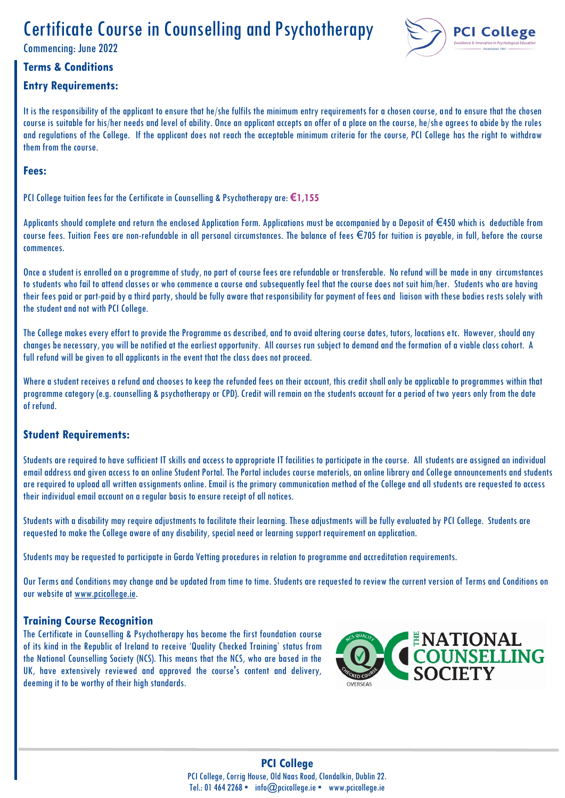Commencing: June 2022

# **Terms & Conditions**

### **Entry Requirements:**



It is the responsibility of the applicant to ensure that he/she fulfils the minimum entry requirements for a chosen course, and to ensure that the chosen course is suitable for his/her needs and level of ability. Once an applicant accepts an offer of a place on the course, he/she agrees to abide by the rules and regulations of the College. If the applicant does not reach the acceptable minimum criteria for the course, PCI College has the right to withdraw them from the course.

#### **Fees:**

PCI College tuition fees for the Certificate in Counselling & Psychotherapy are: **€1,155**

Applicants should complete and return the enclosed Application Form. Applications must be accompanied by a Deposit of €450 which is deductible from course fees. Tuition Fees are non-refundable in all personal circumstances. The balance of fees €705 for tuition is payable, in full, before the course commences.

Once a student is enrolled on a programme of study, no part of course fees are refundable or transferable. No refund will be made in any circumstances to students who fail to attend classes or who commence a course and subsequently feel that the course does not suit him/her. Students who are having their fees paid or part-paid by a third party, should be fully aware that responsibility for payment of fees and liaison with these bodies rests solely with the student and not with PCI College.

The College makes every effort to provide the Programme as described, and to avoid altering course dates, tutors, locations etc. However, should any changes be necessary, you will be notified at the earliest opportunity. All courses run subject to demand and the formation of a viable class cohort. A full refund will be given to all applicants in the event that the class does not proceed.

Where a student receives a refund and chooses to keep the refunded fees on their account, this credit shall only be applicable to programmes within that programme category (e.g. counselling & psychotherapy or CPD). Credit will remain on the students account for a period of two years only from the date of refund.

# **Student Requirements:**

Students are required to have sufficient IT skills and access to appropriate IT facilities to participate in the course. All students are assigned an individual email address and given access to an online Student Portal. The Portal includes course materials, an online library and College announcements and students are required to upload all written assignments online. Email is the primary communication method of the College and all students are requested to access their individual email account on a regular basis to ensure receipt of all notices.

Students with a disability may require adjustments to facilitate their learning. These adjustments will be fully evaluated by PCI College. Students are requested to make the College aware of any disability, special need or learning support requirement on application.

Students may be requested to participate in Garda Vetting procedures in relation to programme and accreditation requirements.

Our Terms and Conditions may change and be updated from time to time. Students are requested to review the current version of Terms and Conditions on our website at [www.pcicollege.ie.](http://www.pcicollege.ie)

#### **Training Course Recognition**

The Certificate in Counselling & Psychotherapy has become the first foundation course of its kind in the Republic of Ireland to receive 'Quality Checked Training' status from the National Counselling Society (NCS). This means that the NCS, who are based in the UK, have extensively reviewed and approved the course's content and delivery, deeming it to be worthy of their high standards.

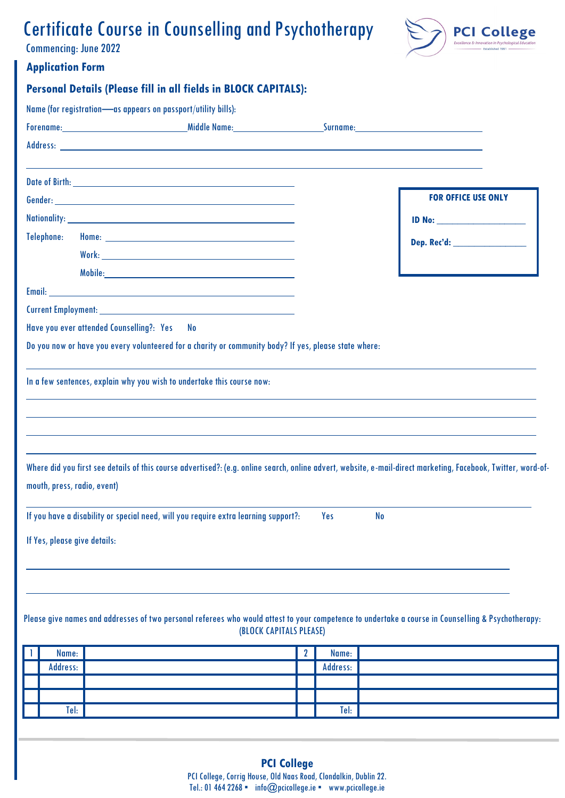Commencing: June 2022



# **Application Form**

| <b>Application Form</b> |            |                                                               |                                                                                                       |              |          |                                                                                                                                                               |  |
|-------------------------|------------|---------------------------------------------------------------|-------------------------------------------------------------------------------------------------------|--------------|----------|---------------------------------------------------------------------------------------------------------------------------------------------------------------|--|
|                         |            |                                                               | <b>Personal Details (Please fill in all fields in BLOCK CAPITALS):</b>                                |              |          |                                                                                                                                                               |  |
|                         |            | Name (for registration-as appears on passport/utility bills): |                                                                                                       |              |          |                                                                                                                                                               |  |
|                         |            |                                                               |                                                                                                       |              |          |                                                                                                                                                               |  |
|                         |            |                                                               |                                                                                                       |              |          |                                                                                                                                                               |  |
|                         |            |                                                               |                                                                                                       |              |          |                                                                                                                                                               |  |
|                         |            |                                                               |                                                                                                       |              |          | <b>FOR OFFICE USE ONLY</b>                                                                                                                                    |  |
|                         |            |                                                               |                                                                                                       |              |          |                                                                                                                                                               |  |
|                         | Telephone: |                                                               |                                                                                                       |              |          | Dep. Rec'd: ____________________                                                                                                                              |  |
|                         |            |                                                               |                                                                                                       |              |          |                                                                                                                                                               |  |
|                         |            |                                                               |                                                                                                       |              |          |                                                                                                                                                               |  |
|                         |            |                                                               |                                                                                                       |              |          |                                                                                                                                                               |  |
|                         |            |                                                               |                                                                                                       |              |          |                                                                                                                                                               |  |
|                         |            | Have you ever attended Counselling?: Yes                      | - No                                                                                                  |              |          |                                                                                                                                                               |  |
|                         |            |                                                               | Do you now or have you every volunteered for a charity or community body? If yes, please state where: |              |          |                                                                                                                                                               |  |
|                         |            |                                                               | In a few sentences, explain why you wish to undertake this course now:                                |              |          |                                                                                                                                                               |  |
|                         |            | mouth, press, radio, event)                                   |                                                                                                       |              |          | Where did you first see details of this course advertised?: (e.g. online search, online advert, website, e-mail-direct marketing, Facebook, Twitter, word-of- |  |
|                         |            | If Yes, please give details:                                  | If you have a disability or special need, will you require extra learning support?:                   |              | Yes      | N <sub>o</sub>                                                                                                                                                |  |
|                         |            |                                                               | (BLOCK CAPITALS PLEASE)                                                                               |              |          | Please give names and addresses of two personal referees who would attest to your competence to undertake a course in Counselling & Psychotherapy:            |  |
|                         | Name:      |                                                               |                                                                                                       | $\mathbf{2}$ | Name:    |                                                                                                                                                               |  |
|                         | Address:   |                                                               |                                                                                                       |              | Address: |                                                                                                                                                               |  |
|                         |            |                                                               |                                                                                                       |              |          |                                                                                                                                                               |  |
|                         |            |                                                               |                                                                                                       |              |          |                                                                                                                                                               |  |
|                         | Tel:       |                                                               |                                                                                                       |              | Tel:     |                                                                                                                                                               |  |